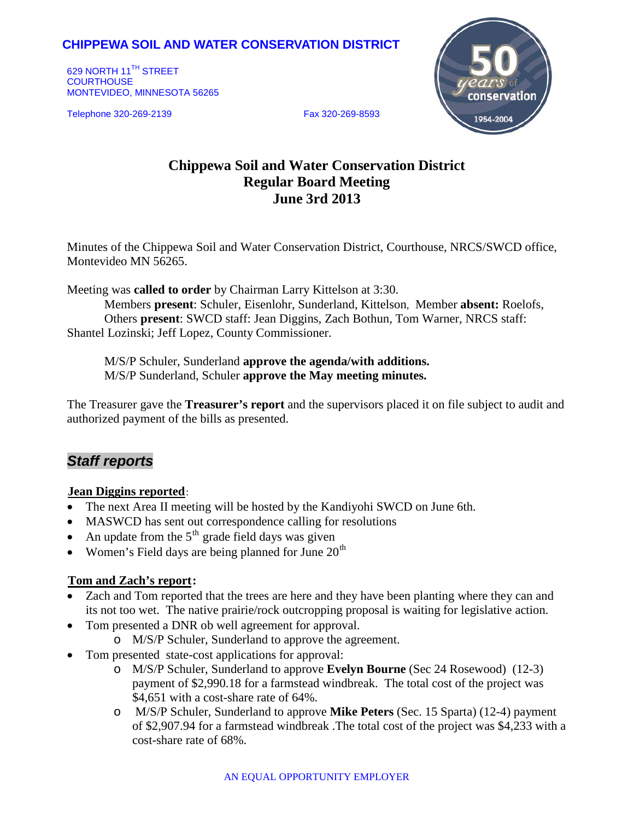# **CHIPPEWA SOIL AND WATER CONSERVATION DISTRICT**

629 NORTH 11<sup>TH</sup> STREET **COURTHOUSE** MONTEVIDEO, MINNESOTA 56265

Telephone 320-269-2139 Fax 320-269-8593



# **Chippewa Soil and Water Conservation District Regular Board Meeting June 3rd 2013**

Minutes of the Chippewa Soil and Water Conservation District, Courthouse, NRCS/SWCD office, Montevideo MN 56265.

Meeting was **called to order** by Chairman Larry Kittelson at 3:30.

Members **present**: Schuler, Eisenlohr, Sunderland, Kittelson, Member **absent:** Roelofs, Others **present**: SWCD staff: Jean Diggins, Zach Bothun, Tom Warner, NRCS staff: Shantel Lozinski; Jeff Lopez, County Commissioner.

M/S/P Schuler, Sunderland **approve the agenda/with additions.** M/S/P Sunderland, Schuler **approve the May meeting minutes.**

The Treasurer gave the **Treasurer's report** and the supervisors placed it on file subject to audit and authorized payment of the bills as presented.

# *Staff reports*

### **Jean Diggins reported:**

- The next Area II meeting will be hosted by the Kandiyohi SWCD on June 6th.
- MASWCD has sent out correspondence calling for resolutions
- An update from the  $5<sup>th</sup>$  grade field days was given
- Women's Field days are being planned for June  $20<sup>th</sup>$

## **Tom and Zach's report:**

- Zach and Tom reported that the trees are here and they have been planting where they can and its not too wet. The native prairie/rock outcropping proposal is waiting for legislative action.
- Tom presented a DNR ob well agreement for approval.
	- o M/S/P Schuler, Sunderland to approve the agreement.
- Tom presented state-cost applications for approval:
	- o M/S/P Schuler, Sunderland to approve **Evelyn Bourne** (Sec 24 Rosewood) (12-3) payment of \$2,990.18 for a farmstead windbreak. The total cost of the project was \$4,651 with a cost-share rate of 64%.
	- o M/S/P Schuler, Sunderland to approve **Mike Peters** (Sec. 15 Sparta) (12-4) payment of \$2,907.94 for a farmstead windbreak .The total cost of the project was \$4,233 with a cost-share rate of 68%.